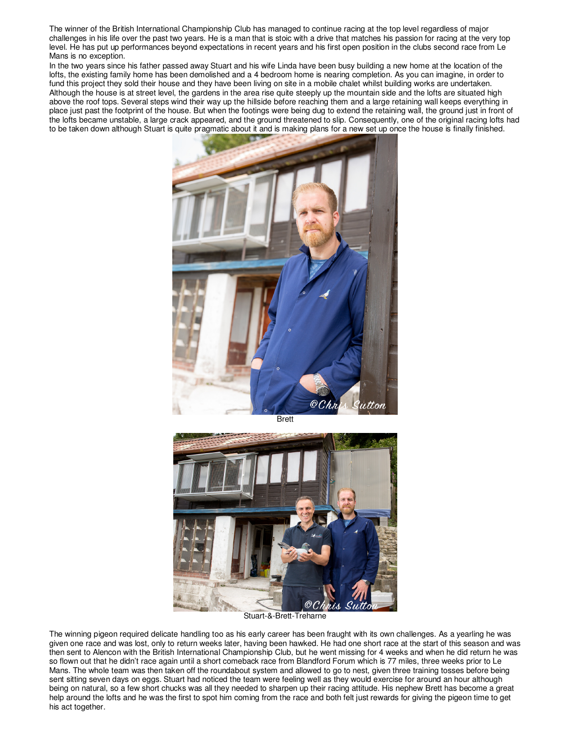The winner of the British International Championship Club has managed to continue racing at the top level regardless of major challenges in his life over the past two years. He is a man that is stoic with a drive that matches his passion for racing at the very top level. He has put up performances beyond expectations in recent years and his first open position in the clubs second race from Le Mans is no exception.

In the two years since his father passed away Stuart and his wife Linda have been busy building a new home at the location of the lofts, the existing family home has been demolished and a 4 bedroom home is nearing completion. As you can imagine, in order to fund this project they sold their house and they have been living on site in a mobile chalet whilst building works are undertaken. Although the house is at street level, the gardens in the area rise quite steeply up the mountain side and the lofts are situated high above the roof tops. Several steps wind their way up the hillside before reaching them and a large retaining wall keeps everything in place just past the footprint of the house. But when the footings were being dug to extend the retaining wall, the ground just in front of the lofts became unstable, a large crack appeared, and the ground threatened to slip. Consequently, one of the original racing lofts had to be taken down although Stuart is quite pragmatic about it and is making plans for a new set up once the house is finally finished.



Brett



Stuart-&-Brett-Treharne

The winning pigeon required delicate handling too as his early career has been fraught with its own challenges. As a yearling he was given one race and was lost, only to return weeks later, having been hawked. He had one short race at the start of this season and was then sent to Alencon with the British International Championship Club, but he went missing for 4 weeks and when he did return he was so flown out that he didn't race again until a short comeback race from Blandford Forum which is 77 miles, three weeks prior to Le Mans. The whole team was then taken off the roundabout system and allowed to go to nest, given three training tosses before being sent sitting seven days on eggs. Stuart had noticed the team were feeling well as they would exercise for around an hour although being on natural, so a few short chucks was all they needed to sharpen up their racing attitude. His nephew Brett has become a great help around the lofts and he was the first to spot him coming from the race and both felt just rewards for giving the pigeon time to get his act together.